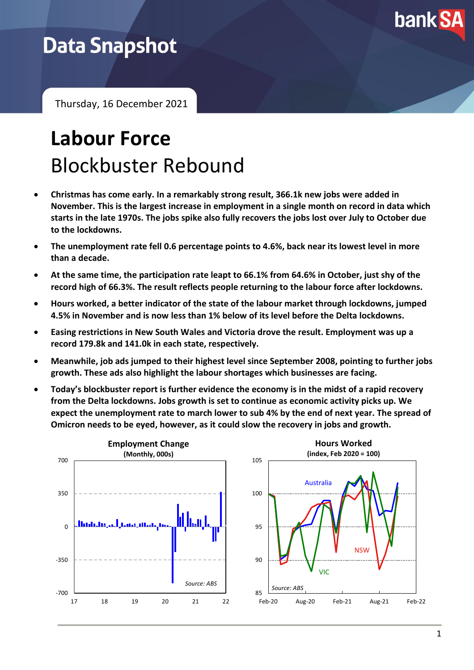

## **Data Snapshot**

Thursday, 16 December 2021

# **Labour Force** Blockbuster Rebound

- **Christmas has come early. In a remarkably strong result, 366.1k new jobs were added in November. This is the largest increase in employment in a single month on record in data which starts in the late 1970s. The jobs spike also fully recovers the jobs lost over July to October due to the lockdowns.**
- **The unemployment rate fell 0.6 percentage points to 4.6%, back near its lowest level in more than a decade.**
- **At the same time, the participation rate leapt to 66.1% from 64.6% in October, just shy of the record high of 66.3%. The result reflects people returning to the labour force after lockdowns.**
- **Hours worked, a better indicator of the state of the labour market through lockdowns, jumped 4.5% in November and is now less than 1% below of its level before the Delta lockdowns.**
- **Easing restrictions in New South Wales and Victoria drove the result. Employment was up a record 179.8k and 141.0k in each state, respectively.**
- **Meanwhile, job ads jumped to their highest level since September 2008, pointing to further jobs growth. These ads also highlight the labour shortages which businesses are facing.**
- **Today's blockbuster report is further evidence the economy is in the midst of a rapid recovery from the Delta lockdowns. Jobs growth is set to continue as economic activity picks up. We expect the unemployment rate to march lower to sub 4% by the end of next year. The spread of Omicron needs to be eyed, however, as it could slow the recovery in jobs and growth.**

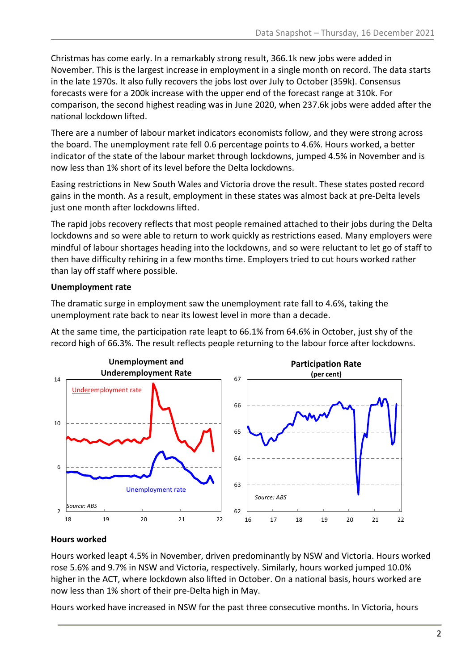Christmas has come early. In a remarkably strong result, 366.1k new jobs were added in November. This is the largest increase in employment in a single month on record. The data starts in the late 1970s. It also fully recovers the jobs lost over July to October (359k). Consensus forecasts were for a 200k increase with the upper end of the forecast range at 310k. For comparison, the second highest reading was in June 2020, when 237.6k jobs were added after the national lockdown lifted.

There are a number of labour market indicators economists follow, and they were strong across the board. The unemployment rate fell 0.6 percentage points to 4.6%. Hours worked, a better indicator of the state of the labour market through lockdowns, jumped 4.5% in November and is now less than 1% short of its level before the Delta lockdowns.

Easing restrictions in New South Wales and Victoria drove the result. These states posted record gains in the month. As a result, employment in these states was almost back at pre-Delta levels just one month after lockdowns lifted.

The rapid jobs recovery reflects that most people remained attached to their jobs during the Delta lockdowns and so were able to return to work quickly as restrictions eased. Many employers were mindful of labour shortages heading into the lockdowns, and so were reluctant to let go of staff to then have difficulty rehiring in a few months time. Employers tried to cut hours worked rather than lay off staff where possible.

#### **Unemployment rate**

The dramatic surge in employment saw the unemployment rate fall to 4.6%, taking the unemployment rate back to near its lowest level in more than a decade.

At the same time, the participation rate leapt to 66.1% from 64.6% in October, just shy of the record high of 66.3%. The result reflects people returning to the labour force after lockdowns.



#### **Hours worked**

Hours worked leapt 4.5% in November, driven predominantly by NSW and Victoria. Hours worked rose 5.6% and 9.7% in NSW and Victoria, respectively. Similarly, hours worked jumped 10.0% higher in the ACT, where lockdown also lifted in October. On a national basis, hours worked are now less than 1% short of their pre-Delta high in May.

Hours worked have increased in NSW for the past three consecutive months. In Victoria, hours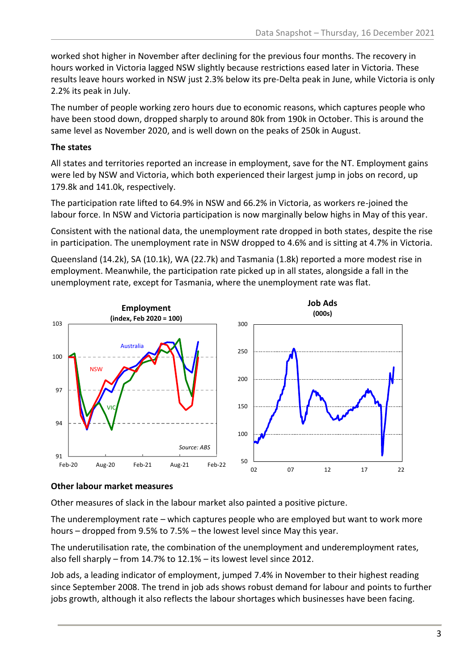worked shot higher in November after declining for the previous four months. The recovery in hours worked in Victoria lagged NSW slightly because restrictions eased later in Victoria. These results leave hours worked in NSW just 2.3% below its pre-Delta peak in June, while Victoria is only 2.2% its peak in July.

The number of people working zero hours due to economic reasons, which captures people who have been stood down, dropped sharply to around 80k from 190k in October. This is around the same level as November 2020, and is well down on the peaks of 250k in August.

#### **The states**

All states and territories reported an increase in employment, save for the NT. Employment gains were led by NSW and Victoria, which both experienced their largest jump in jobs on record, up 179.8k and 141.0k, respectively.

The participation rate lifted to 64.9% in NSW and 66.2% in Victoria, as workers re-joined the labour force. In NSW and Victoria participation is now marginally below highs in May of this year.

Consistent with the national data, the unemployment rate dropped in both states, despite the rise in participation. The unemployment rate in NSW dropped to 4.6% and is sitting at 4.7% in Victoria.

Queensland (14.2k), SA (10.1k), WA (22.7k) and Tasmania (1.8k) reported a more modest rise in employment. Meanwhile, the participation rate picked up in all states, alongside a fall in the unemployment rate, except for Tasmania, where the unemployment rate was flat.



#### **Other labour market measures**

Other measures of slack in the labour market also painted a positive picture.

The underemployment rate – which captures people who are employed but want to work more hours – dropped from 9.5% to 7.5% – the lowest level since May this year.

The underutilisation rate, the combination of the unemployment and underemployment rates, also fell sharply – from 14.7% to 12.1% – its lowest level since 2012.

Job ads, a leading indicator of employment, jumped 7.4% in November to their highest reading since September 2008. The trend in job ads shows robust demand for labour and points to further jobs growth, although it also reflects the labour shortages which businesses have been facing.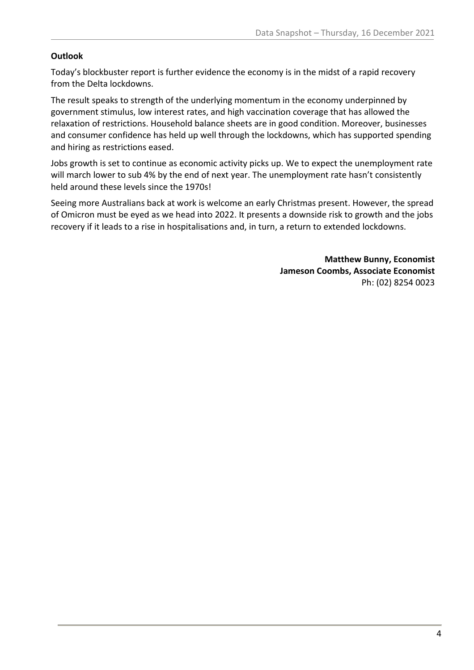#### **Outlook**

Today's blockbuster report is further evidence the economy is in the midst of a rapid recovery from the Delta lockdowns.

The result speaks to strength of the underlying momentum in the economy underpinned by government stimulus, low interest rates, and high vaccination coverage that has allowed the relaxation of restrictions. Household balance sheets are in good condition. Moreover, businesses and consumer confidence has held up well through the lockdowns, which has supported spending and hiring as restrictions eased.

Jobs growth is set to continue as economic activity picks up. We to expect the unemployment rate will march lower to sub 4% by the end of next year. The unemployment rate hasn't consistently held around these levels since the 1970s!

Seeing more Australians back at work is welcome an early Christmas present. However, the spread of Omicron must be eyed as we head into 2022. It presents a downside risk to growth and the jobs recovery if it leads to a rise in hospitalisations and, in turn, a return to extended lockdowns.

> **Matthew Bunny, Economist Jameson Coombs, Associate Economist** Ph: (02) 8254 0023